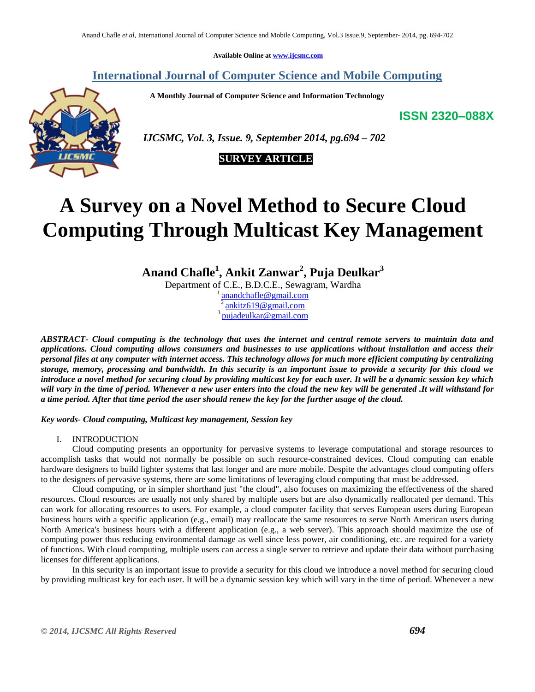**Available Online at [www.ijcsmc.com](http://www.ijcsmc.com/)**

# **International Journal of Computer Science and Mobile Computing**

 **A Monthly Journal of Computer Science and Information Technology**

**ISSN 2320–088X**



 *IJCSMC, Vol. 3, Issue. 9, September 2014, pg.694 – 702*

 **SURVEY ARTICLE**

# **A Survey on a Novel Method to Secure Cloud Computing Through Multicast Key Management**

**Anand Chafle<sup>1</sup> , Ankit Zanwar<sup>2</sup> , Puja Deulkar<sup>3</sup>**

Department of C.E., B.D.C.E., Sewagram, Wardha

<sup>1</sup> [anandchafle@gmail.com](mailto:anandchafle@gmail.com) <sup>3</sup> [pujadeulkar@gmail.com](mailto:pujadeulkar@gmail.com)

*ABSTRACT- Cloud computing is the technology that uses the internet and central remote servers to maintain data and applications. Cloud computing allows consumers and businesses to use applications without installation and access their personal files at any computer with internet access. This technology allows for much more efficient computing by centralizing storage, memory, processing and bandwidth. In this security is an important issue to provide a security for this cloud we introduce a novel method for securing cloud by providing multicast key for each user. It will be a dynamic session key which will vary in the time of period. Whenever a new user enters into the cloud the new key will be generated .It will withstand for a time period. After that time period the user should renew the key for the further usage of the cloud.*

## *Key words- Cloud computing, Multicast key management, Session key*

## I. INTRODUCTION

Cloud computing presents an opportunity for pervasive systems to leverage computational and storage resources to accomplish tasks that would not normally be possible on such resource-constrained devices. Cloud computing can enable hardware designers to build lighter systems that last longer and are more mobile. Despite the advantages cloud computing offers to the designers of pervasive systems, there are some limitations of leveraging cloud computing that must be addressed.

Cloud computing, or in simpler shorthand just "the cloud", also focuses on maximizing the effectiveness of the shared resources. Cloud resources are usually not only shared by multiple users but are also dynamically reallocated per demand. This can work for allocating resources to users. For example, a cloud computer facility that serves European users during European business hours with a specific application (e.g., email) may reallocate the same resources to serve North American users during North America's business hours with a different application (e.g., a web server). This approach should maximize the use of computing power thus reducing environmental damage as well since less power, air conditioning, etc. are required for a variety of functions. With cloud computing, multiple users can access a single server to retrieve and update their data without purchasing licenses for different applications.

In this security is an important issue to provide a security for this cloud we introduce a novel method for securing cloud by providing multicast key for each user. It will be a dynamic session key which will vary in the time of period. Whenever a new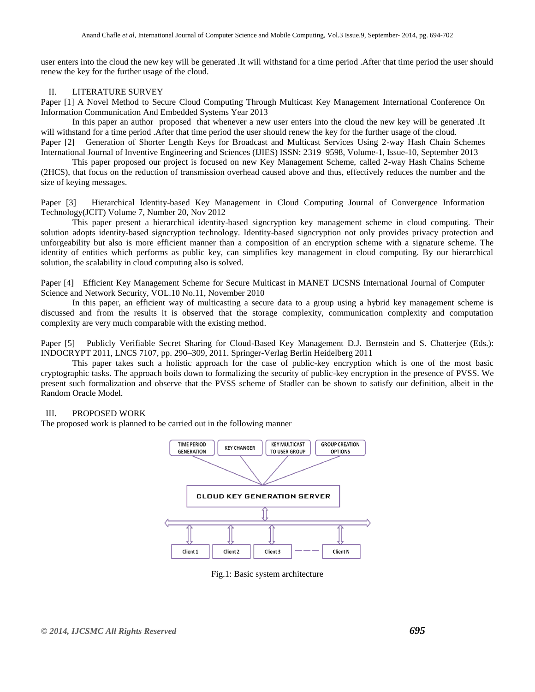user enters into the cloud the new key will be generated .It will withstand for a time period .After that time period the user should renew the key for the further usage of the cloud.

#### II. LITERATURE SURVEY

Paper [1] A Novel Method to Secure Cloud Computing Through Multicast Key Management International Conference On Information Communication And Embedded Systems Year 2013

In this paper an author proposed that whenever a new user enters into the cloud the new key will be generated .It will withstand for a time period .After that time period the user should renew the key for the further usage of the cloud. Paper [2] Generation of Shorter Length Keys for Broadcast and Multicast Services Using 2-way Hash Chain Schemes International Journal of Inventive Engineering and Sciences (IJIES) ISSN: 2319–9598, Volume-1, Issue-10, September 2013

This paper proposed our project is focused on new Key Management Scheme, called 2-way Hash Chains Scheme (2HCS), that focus on the reduction of transmission overhead caused above and thus, effectively reduces the number and the size of keying messages.

Paper [3] Hierarchical Identity-based Key Management in Cloud Computing Journal of Convergence Information Technology(JCIT) Volume 7, Number 20, Nov 2012

This paper present a hierarchical identity-based signcryption key management scheme in cloud computing. Their solution adopts identity-based signcryption technology. Identity-based signcryption not only provides privacy protection and unforgeability but also is more efficient manner than a composition of an encryption scheme with a signature scheme. The identity of entities which performs as public key, can simplifies key management in cloud computing. By our hierarchical solution, the scalability in cloud computing also is solved.

Paper [4] Efficient Key Management Scheme for Secure Multicast in MANET IJCSNS International Journal of Computer Science and Network Security, VOL.10 No.11, November 2010

In this paper, an efficient way of multicasting a secure data to a group using a hybrid key management scheme is discussed and from the results it is observed that the storage complexity, communication complexity and computation complexity are very much comparable with the existing method.

Paper [5] Publicly Verifiable Secret Sharing for Cloud-Based Key Management D.J. Bernstein and S. Chatterjee (Eds.): INDOCRYPT 2011, LNCS 7107, pp. 290–309, 2011. Springer-Verlag Berlin Heidelberg 2011

This paper takes such a holistic approach for the case of public-key encryption which is one of the most basic cryptographic tasks. The approach boils down to formalizing the security of public-key encryption in the presence of PVSS. We present such formalization and observe that the PVSS scheme of Stadler can be shown to satisfy our definition, albeit in the Random Oracle Model.

# III. PROPOSED WORK

The proposed work is planned to be carried out in the following manner



Fig.1: Basic system architecture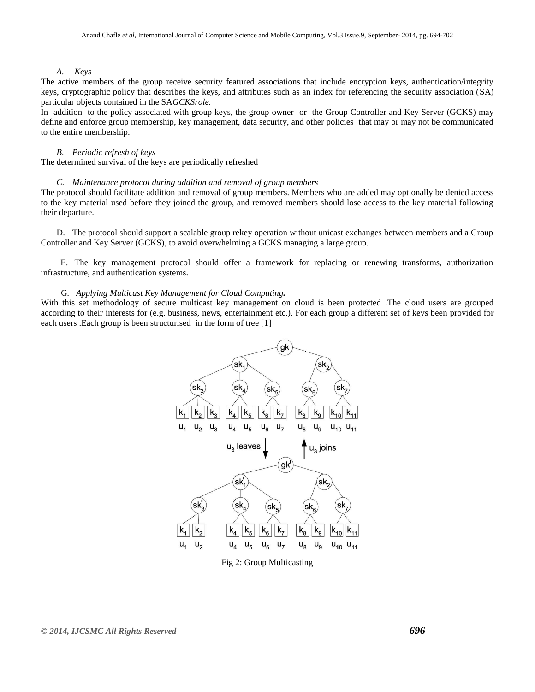## *A. Keys*

The active members of the group receive security featured associations that include encryption keys, authentication/integrity keys, cryptographic policy that describes the keys, and attributes such as an index for referencing the security association (SA) particular objects contained in the SA*GCKSrole.*

In addition to the policy associated with group keys, the group owner or the Group Controller and Key Server (GCKS) may define and enforce group membership, key management, data security, and other policies that may or may not be communicated to the entire membership.

## *B. Periodic refresh of keys*

The determined survival of the keys are periodically refreshed

#### *C. Maintenance protocol during addition and removal of group members*

The protocol should facilitate addition and removal of group members. Members who are added may optionally be denied access to the key material used before they joined the group, and removed members should lose access to the key material following their departure.

D. The protocol should support a scalable group rekey operation without unicast exchanges between members and a Group Controller and Key Server (GCKS), to avoid overwhelming a GCKS managing a large group.

E. The key management protocol should offer a framework for replacing or renewing transforms, authorization infrastructure, and authentication systems.

## G*. Applying Multicast Key Management for Cloud Computing.*

With this set methodology of secure multicast key management on cloud is been protected .The cloud users are grouped according to their interests for (e.g. business, news, entertainment etc.). For each group a different set of keys been provided for each users .Each group is been structurised in the form of tree [1]



Fig 2: Group Multicasting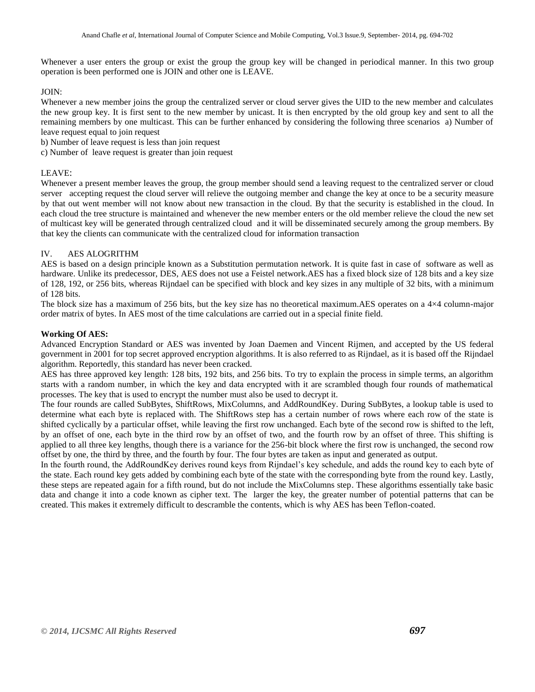Whenever a user enters the group or exist the group the group key will be changed in periodical manner. In this two group operation is been performed one is JOIN and other one is LEAVE.

JOIN:

Whenever a new member joins the group the centralized server or cloud server gives the UID to the new member and calculates the new group key. It is first sent to the new member by unicast. It is then encrypted by the old group key and sent to all the remaining members by one multicast. This can be further enhanced by considering the following three scenarios a) Number of leave request equal to join request

b) Number of leave request is less than join request

c) Number of leave request is greater than join request

# LEAVE:

Whenever a present member leaves the group, the group member should send a leaving request to the centralized server or cloud server accepting request the cloud server will relieve the outgoing member and change the key at once to be a security measure by that out went member will not know about new transaction in the cloud. By that the security is established in the cloud. In each cloud the tree structure is maintained and whenever the new member enters or the old member relieve the cloud the new set of multicast key will be generated through centralized cloud and it will be disseminated securely among the group members. By that key the clients can communicate with the centralized cloud for information transaction

# IV. AES ALOGRITHM

AES is based on a design principle known as a Substitution permutation network. It is quite fast in case of software as well as hardware. Unlike its predecessor, DES, AES does not use a Feistel network.AES has a fixed block size of 128 bits and a key size of 128, 192, or 256 bits, whereas Rijndael can be specified with block and key sizes in any multiple of 32 bits, with a minimum of 128 bits.

The block size has a maximum of 256 bits, but the key size has no theoretical maximum.AES operates on a 4×4 column-major order matrix of bytes. In AES most of the time calculations are carried out in a special finite field.

# **Working Of AES:**

Advanced Encryption Standard or AES was invented by Joan Daemen and Vincent Rijmen, and accepted by the US federal government in 2001 for top secret approved encryption algorithms. It is also referred to as Rijndael, as it is based off the Rijndael algorithm. Reportedly, this standard has never been cracked.

AES has three approved key length: 128 bits, 192 bits, and 256 bits. To try to explain the process in simple terms, an algorithm starts with a random number, in which the key and data encrypted with it are scrambled though four rounds of mathematical processes. The key that is used to encrypt the number must also be used to decrypt it.

The four rounds are called SubBytes, ShiftRows, MixColumns, and AddRoundKey. During SubBytes, a lookup table is used to determine what each byte is replaced with. The ShiftRows step has a certain number of rows where each row of the state is shifted cyclically by a particular offset, while leaving the first row unchanged. Each byte of the second row is shifted to the left, by an offset of one, each byte in the third row by an offset of two, and the fourth row by an offset of three. This shifting is applied to all three key lengths, though there is a variance for the 256-bit block where the first row is unchanged, the second row offset by one, the third by three, and the fourth by four. The four bytes are taken as input and generated as output.

In the fourth round, the AddRoundKey derives round keys from Rijndael's key schedule, and adds the round key to each byte of the state. Each round key gets added by combining each byte of the state with the corresponding byte from the round key. Lastly, these steps are repeated again for a fifth round, but do not include the MixColumns step. These algorithms essentially take basic data and change it into a code known as cipher text. The larger the key, the greater number of potential patterns that can be created. This makes it extremely difficult to descramble the contents, which is why AES has been Teflon-coated.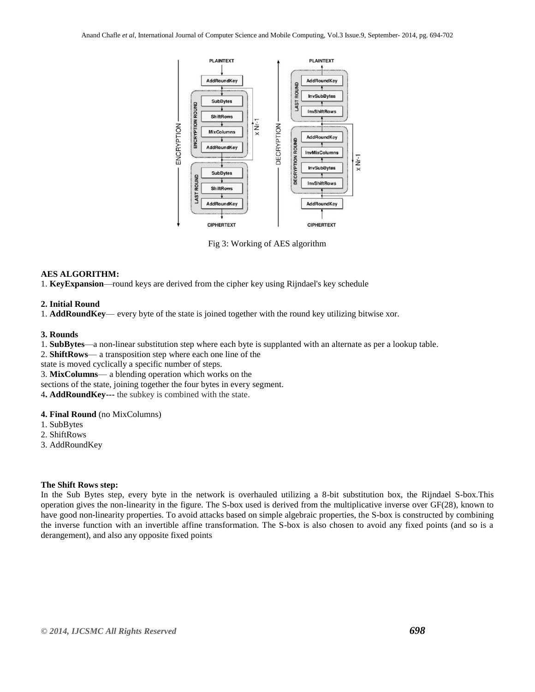

Fig 3: Working of AES algorithm

# **AES ALGORITHM:**

1. **KeyExpansion**—round keys are derived from the cipher key using Rijndael's key schedule

# **2. Initial Round**

1. **AddRoundKey**— every byte of the state is joined together with the round key utilizing bitwise xor.

# **3. Rounds**

1. **SubBytes**—a non-linear substitution step where each byte is supplanted with an alternate as per a lookup table.

2. **ShiftRows**— a transposition step where each one line of the

state is moved cyclically a specific number of steps.

3. **MixColumns**— a blending operation which works on the

sections of the state, joining together the four bytes in every segment.

4**. AddRoundKey---** the subkey is combined with the state.

# **4. Final Round** (no MixColumns)

- 1. SubBytes
- 2. ShiftRows
- 3. AddRoundKey

# **The Shift Rows step:**

In the Sub Bytes step, every byte in the network is overhauled utilizing a 8-bit substitution box, the Rijndael S-box.This operation gives the non-linearity in the figure. The S-box used is derived from the multiplicative inverse over GF(28), known to have good non-linearity properties. To avoid attacks based on simple algebraic properties, the S-box is constructed by combining the inverse function with an invertible affine transformation. The S-box is also chosen to avoid any fixed points (and so is a derangement), and also any opposite fixed points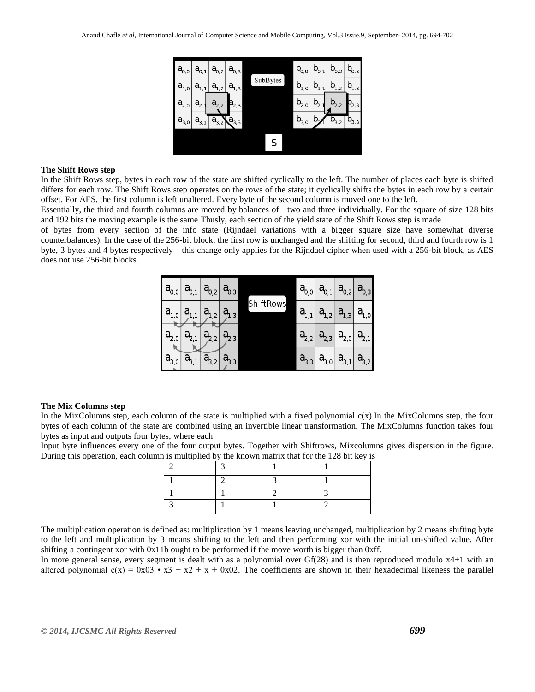

#### **The Shift Rows step**

In the Shift Rows step, bytes in each row of the state are shifted cyclically to the left. The number of places each byte is shifted differs for each row. The Shift Rows step operates on the rows of the state; it cyclically shifts the bytes in each row by a certain offset. For AES, the first column is left unaltered. Every byte of the second column is moved one to the left.

Essentially, the third and fourth columns are moved by balances of two and three individually. For the square of size 128 bits and 192 bits the moving example is the same Thusly, each section of the yield state of the Shift Rows step is made

of bytes from every section of the info state (Rijndael variations with a bigger square size have somewhat diverse counterbalances). In the case of the 256-bit block, the first row is unchanged and the shifting for second, third and fourth row is 1 byte, 3 bytes and 4 bytes respectively—this change only applies for the Rijndael cipher when used with a 256-bit block, as AES does not use 256-bit blocks.



## **The Mix Columns step**

In the MixColumns step, each column of the state is multiplied with a fixed polynomial  $c(x)$ . In the MixColumns step, the four bytes of each column of the state are combined using an invertible linear transformation. The MixColumns function takes four bytes as input and outputs four bytes, where each

Input byte influences every one of the four output bytes. Together with Shiftrows, Mixcolumns gives dispersion in the figure. During this operation, each column is multiplied by the known matrix that for the 128 bit key is

The multiplication operation is defined as: multiplication by 1 means leaving unchanged, multiplication by 2 means shifting byte to the left and multiplication by 3 means shifting to the left and then performing xor with the initial un-shifted value. After shifting a contingent xor with 0x11b ought to be performed if the move worth is bigger than 0xff.

In more general sense, every segment is dealt with as a polynomial over Gf(28) and is then reproduced modulo x4+1 with an altered polynomial  $c(x) = 0x03 \cdot x3 + x2 + x + 0x02$ . The coefficients are shown in their hexadecimal likeness the parallel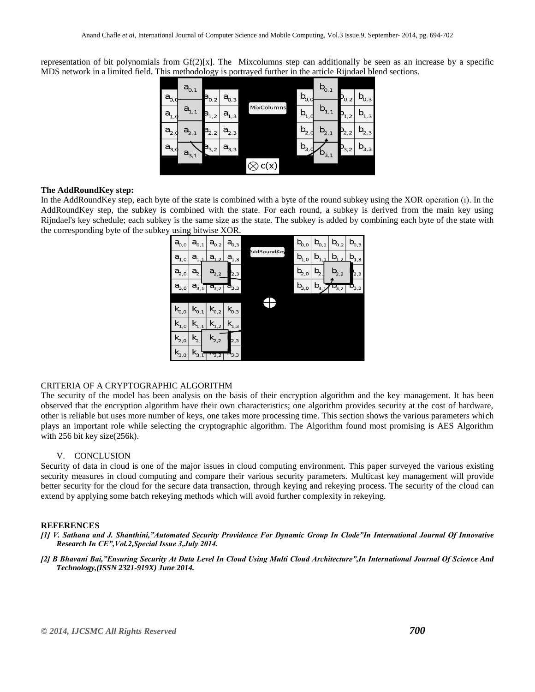representation of bit polynomials from  $Gf(2)[x]$ . The Mixcolumns step can additionally be seen as an increase by a specific MDS network in a limited field. This methodology is portrayed further in the article Rijndael blend sections.



## **The AddRoundKey step:**

In the AddRoundKey step, each byte of the state is combined with a byte of the round subkey using the XOR operation (ı). In the AddRoundKey step, the subkey is combined with the state. For each round, a subkey is derived from the main key using Rijndael's key schedule; each subkey is the same size as the state. The subkey is added by combining each byte of the state with the corresponding byte of the subkey using bitwise XOR.



## CRITERIA OF A CRYPTOGRAPHIC ALGORITHM

The security of the model has been analysis on the basis of their encryption algorithm and the key management. It has been observed that the encryption algorithm have their own characteristics; one algorithm provides security at the cost of hardware, other is reliable but uses more number of keys, one takes more processing time. This section shows the various parameters which plays an important role while selecting the cryptographic algorithm. The Algorithm found most promising is AES Algorithm with 256 bit key size(256k).

## V. CONCLUSION

Security of data in cloud is one of the major issues in cloud computing environment. This paper surveyed the various existing security measures in cloud computing and compare their various security parameters. Multicast key management will provide better security for the cloud for the secure data transaction, through keying and rekeying process. The security of the cloud can extend by applying some batch rekeying methods which will avoid further complexity in rekeying.

#### **REFERENCES**

- *[1] V. Sathana and J. Shanthini,"Automated Security Providence For Dynamic Group In Clode"In International Journal Of Innovative Research In CE",Vol.2,Special Issue 3,July 2014.*
- *[2] B Bhavani Bai,"Ensuring Security At Data Level In Cloud Using Multi Cloud Architecture",In International Journal Of Science And Technology,(ISSN 2321-919X) June 2014.*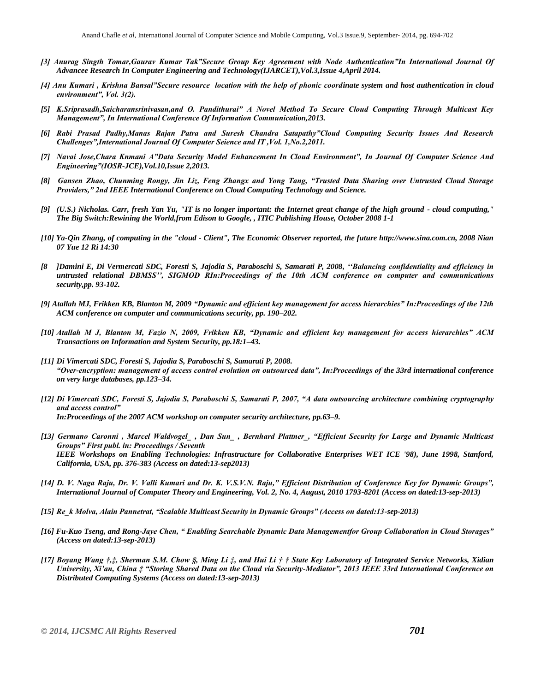- *[3] Anurag Singth Tomar,Gaurav Kumar Tak"Secure Group Key Agreement with Node Authentication"In International Journal Of Advancee Research In Computer Engineering and Technology(IJARCET),Vol.3,Issue 4,April 2014.*
- *[4] Anu Kumari , Krishna Bansal"Secure resource location with the help of phonic coordinate system and host authentication in cloud environment", Vol. 3(2).*
- *[5] K.Sriprasadh,Saicharansrinivasan,and O. Pandithurai" A Novel Method To Secure Cloud Computing Through Multicast Key Management", In International Conference Of Information Communication,2013.*
- *[6] Rabi Prasad Padhy,Manas Rajan Patra and Suresh Chandra Satapathy"Cloud Computing Security Issues And Research Challenges",International Journal Of Computer Seience and IT ,Vol. 1,No.2,2011.*
- *[7] Navai Jose,Chara Knmani A"Data Security Model Enhancement In Cloud Environment", In Journal Of Computer Science And Engineering"(IOSR-JCE),Vol.10,Issue 2,2013.*
- *[8] Gansen Zhao, Chunming Rongy, Jin Liz, Feng Zhangx and Yong Tang, "Trusted Data Sharing over Untrusted Cloud Storage Providers," 2nd IEEE International Conference on Cloud Computing Technology and Science.*
- *[9] (U.S.) Nicholas. Carr, fresh Yan Yu, "IT is no longer important: the Internet great change of the high ground - cloud computing," The Big Switch:Rewining the World,from Edison to Google, , ITIC Publishing House, October 2008 1-1*
- *[10] Ya-Qin Zhang, of computing in the "cloud - Client", The Economic Observer reported, the future http://www.sina.com.cn, 2008 Nian 07 Yue 12 Ri 14:30*
- *[8 ]Damini E, Di Vermercati SDC, Foresti S, Jajodia S, Paraboschi S, Samarati P, 2008, ""Balancing confidentiality and efficiency in untrusted relational DBMSS"", SIGMOD RIn:Proceedings of the 10th ACM conference on computer and communications security,pp. 93-102.*
- *[9] Atallah MJ, Frikken KB, Blanton M, 2009 "Dynamic and efficient key management for access hierarchies" In:Proceedings of the 12th ACM conference on computer and communications security, pp. 190–202.*
- *[10] Atallah M J, Blanton M, Fazio N, 2009, Frikken KB, "Dynamic and efficient key management for access hierarchies" ACM Transactions on Information and System Security, pp.18:1–43.*
- *[11] Di Vimercati SDC, Foresti S, Jajodia S, Paraboschi S, Samarati P, 2008. "Over-encryption: management of access control evolution on outsourced data", In:Proceedings of the 33rd international conference on very large databases, pp.123–34.*
- *[12] Di Vimercati SDC, Foresti S, Jajodia S, Paraboschi S, Samarati P, 2007, "A data outsourcing architecture combining cryptography and access control" In:Proceedings of the 2007 ACM workshop on computer security architecture, pp.63–9.*
- *[13] Germano Caronni , Marcel Waldvogel\_ , Dan Sun\_ , Bernhard Plattner\_, "Efficient Security for Large and Dynamic Multicast Groups" First publ. in: Proceedings / Seventh IEEE Workshops on Enabling Technologies: Infrastructure for Collaborative Enterprises WET ICE '98), June 1998, Stanford, California, USA, pp. 376-383 (Access on dated:13-sep2013)*
- *[14] D. V. Naga Raju, Dr. V. Valli Kumari and Dr. K. V.S.V.N. Raju," Efficient Distribution of Conference Key for Dynamic Groups", International Journal of Computer Theory and Engineering, Vol. 2, No. 4, August, 2010 1793-8201 (Access on dated:13-sep-2013)*
- *[15] Re\_k Molva, Alain Pannetrat, "Scalable Multicast Security in Dynamic Groups" (Access on dated:13-sep-2013)*
- *[16] Fu-Kuo Tseng, and Rong-Jaye Chen, " Enabling Searchable Dynamic Data Managementfor Group Collaboration in Cloud Storages" (Access on dated:13-sep-2013)*
- *[17] Boyang Wang †,‡, Sherman S.M. Chow §, Ming Li ‡, and Hui Li † † State Key Laboratory of Integrated Service Networks, Xidian University, Xi"an, China ‡ "Storing Shared Data on the Cloud via Security-Mediator", 2013 IEEE 33rd International Conference on Distributed Computing Systems (Access on dated:13-sep-2013)*